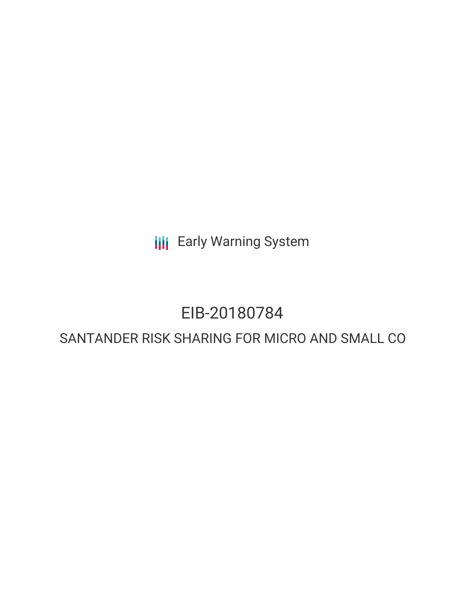**III** Early Warning System

# EIB-20180784

# SANTANDER RISK SHARING FOR MICRO AND SMALL CO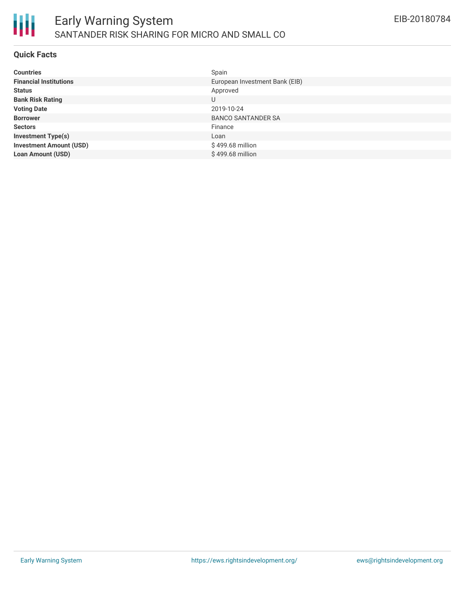

### **Quick Facts**

| <b>Countries</b>               | Spain                          |
|--------------------------------|--------------------------------|
| <b>Financial Institutions</b>  | European Investment Bank (EIB) |
| <b>Status</b>                  | Approved                       |
| <b>Bank Risk Rating</b>        | U                              |
| <b>Voting Date</b>             | 2019-10-24                     |
| <b>Borrower</b>                | <b>BANCO SANTANDER SA</b>      |
| <b>Sectors</b>                 | Finance                        |
| <b>Investment Type(s)</b>      | Loan                           |
| <b>Investment Amount (USD)</b> | \$499.68 million               |
| <b>Loan Amount (USD)</b>       | \$499.68 million               |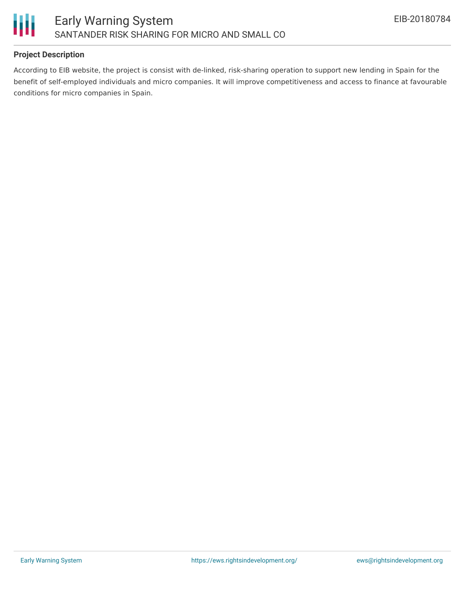

# **Project Description**

According to EIB website, the project is consist with de-linked, risk-sharing operation to support new lending in Spain for the benefit of self-employed individuals and micro companies. It will improve competitiveness and access to finance at favourable conditions for micro companies in Spain.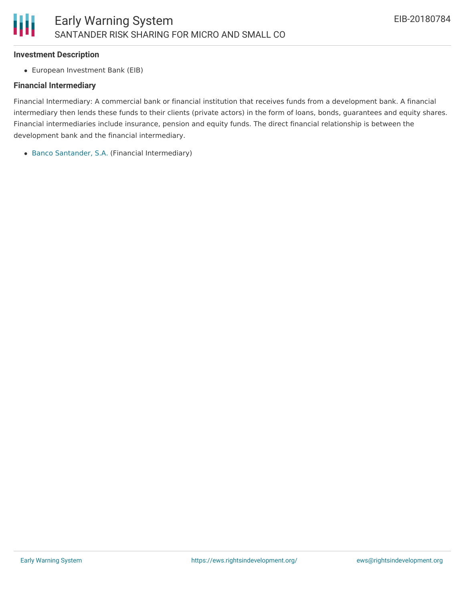#### **Investment Description**

European Investment Bank (EIB)

# **Financial Intermediary**

Financial Intermediary: A commercial bank or financial institution that receives funds from a development bank. A financial intermediary then lends these funds to their clients (private actors) in the form of loans, bonds, guarantees and equity shares. Financial intermediaries include insurance, pension and equity funds. The direct financial relationship is between the development bank and the financial intermediary.

Banco [Santander,](file:///actor/1281/) S.A. (Financial Intermediary)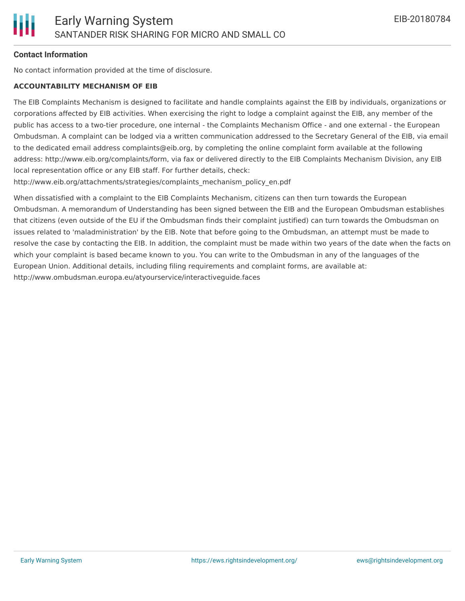# **Contact Information**

No contact information provided at the time of disclosure.

#### **ACCOUNTABILITY MECHANISM OF EIB**

The EIB Complaints Mechanism is designed to facilitate and handle complaints against the EIB by individuals, organizations or corporations affected by EIB activities. When exercising the right to lodge a complaint against the EIB, any member of the public has access to a two-tier procedure, one internal - the Complaints Mechanism Office - and one external - the European Ombudsman. A complaint can be lodged via a written communication addressed to the Secretary General of the EIB, via email to the dedicated email address complaints@eib.org, by completing the online complaint form available at the following address: http://www.eib.org/complaints/form, via fax or delivered directly to the EIB Complaints Mechanism Division, any EIB local representation office or any EIB staff. For further details, check:

http://www.eib.org/attachments/strategies/complaints\_mechanism\_policy\_en.pdf

When dissatisfied with a complaint to the EIB Complaints Mechanism, citizens can then turn towards the European Ombudsman. A memorandum of Understanding has been signed between the EIB and the European Ombudsman establishes that citizens (even outside of the EU if the Ombudsman finds their complaint justified) can turn towards the Ombudsman on issues related to 'maladministration' by the EIB. Note that before going to the Ombudsman, an attempt must be made to resolve the case by contacting the EIB. In addition, the complaint must be made within two years of the date when the facts on which your complaint is based became known to you. You can write to the Ombudsman in any of the languages of the European Union. Additional details, including filing requirements and complaint forms, are available at: http://www.ombudsman.europa.eu/atyourservice/interactiveguide.faces